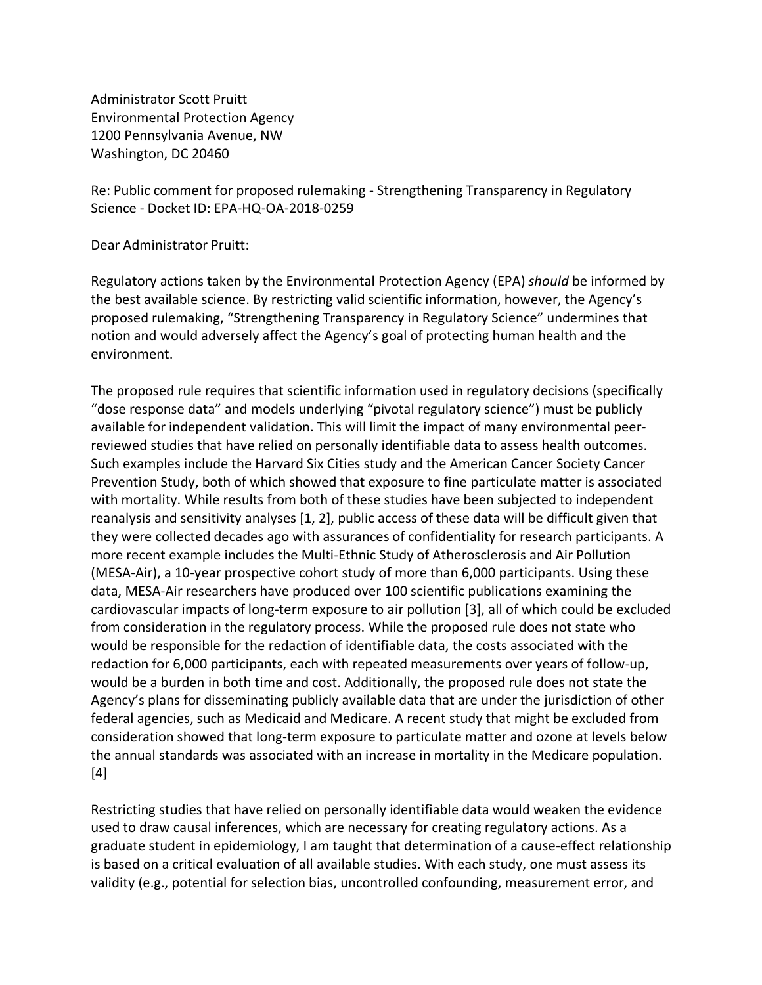Administrator Scott Pruitt Environmental Protection Agency 1200 Pennsylvania Avenue, NW Washington, DC 20460

Re: Public comment for proposed rulemaking - Strengthening Transparency in Regulatory Science - Docket ID: EPA-HQ-OA-2018-0259

Dear Administrator Pruitt:

Regulatory actions taken by the Environmental Protection Agency (EPA) *should* be informed by the best available science. By restricting valid scientific information, however, the Agency's proposed rulemaking, "Strengthening Transparency in Regulatory Science" undermines that notion and would adversely affect the Agency's goal of protecting human health and the environment.

The proposed rule requires that scientific information used in regulatory decisions (specifically "dose response data" and models underlying "pivotal regulatory science") must be publicly available for independent validation. This will limit the impact of many environmental peerreviewed studies that have relied on personally identifiable data to assess health outcomes. Such examples include the Harvard Six Cities study and the American Cancer Society Cancer Prevention Study, both of which showed that exposure to fine particulate matter is associated with mortality. While results from both of these studies have been subjected to independent reanalysis and sensitivity analyses [1, 2], public access of these data will be difficult given that they were collected decades ago with assurances of confidentiality for research participants. A more recent example includes the Multi-Ethnic Study of Atherosclerosis and Air Pollution (MESA-Air), a 10-year prospective cohort study of more than 6,000 participants. Using these data, MESA-Air researchers have produced over 100 scientific publications examining the cardiovascular impacts of long-term exposure to air pollution [3], all of which could be excluded from consideration in the regulatory process. While the proposed rule does not state who would be responsible for the redaction of identifiable data, the costs associated with the redaction for 6,000 participants, each with repeated measurements over years of follow-up, would be a burden in both time and cost. Additionally, the proposed rule does not state the Agency's plans for disseminating publicly available data that are under the jurisdiction of other federal agencies, such as Medicaid and Medicare. A recent study that might be excluded from consideration showed that long-term exposure to particulate matter and ozone at levels below the annual standards was associated with an increase in mortality in the Medicare population. [4]

Restricting studies that have relied on personally identifiable data would weaken the evidence used to draw causal inferences, which are necessary for creating regulatory actions. As a graduate student in epidemiology, I am taught that determination of a cause-effect relationship is based on a critical evaluation of all available studies. With each study, one must assess its validity (e.g., potential for selection bias, uncontrolled confounding, measurement error, and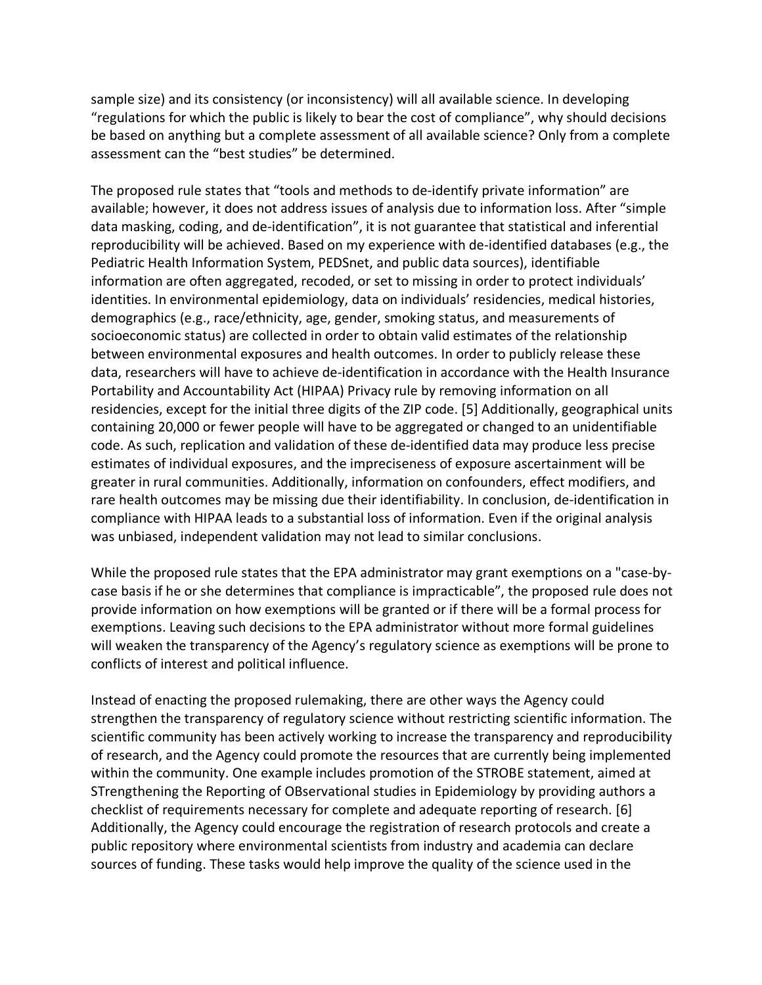sample size) and its consistency (or inconsistency) will all available science. In developing "regulations for which the public is likely to bear the cost of compliance", why should decisions be based on anything but a complete assessment of all available science? Only from a complete assessment can the "best studies" be determined.

The proposed rule states that "tools and methods to de-identify private information" are available; however, it does not address issues of analysis due to information loss. After "simple data masking, coding, and de-identification", it is not guarantee that statistical and inferential reproducibility will be achieved. Based on my experience with de-identified databases (e.g., the Pediatric Health Information System, PEDSnet, and public data sources), identifiable information are often aggregated, recoded, or set to missing in order to protect individuals' identities. In environmental epidemiology, data on individuals' residencies, medical histories, demographics (e.g., race/ethnicity, age, gender, smoking status, and measurements of socioeconomic status) are collected in order to obtain valid estimates of the relationship between environmental exposures and health outcomes. In order to publicly release these data, researchers will have to achieve de-identification in accordance with the Health Insurance Portability and Accountability Act (HIPAA) Privacy rule by removing information on all residencies, except for the initial three digits of the ZIP code. [5] Additionally, geographical units containing 20,000 or fewer people will have to be aggregated or changed to an unidentifiable code. As such, replication and validation of these de-identified data may produce less precise estimates of individual exposures, and the impreciseness of exposure ascertainment will be greater in rural communities. Additionally, information on confounders, effect modifiers, and rare health outcomes may be missing due their identifiability. In conclusion, de-identification in compliance with HIPAA leads to a substantial loss of information. Even if the original analysis was unbiased, independent validation may not lead to similar conclusions.

While the proposed rule states that the EPA administrator may grant exemptions on a "case-bycase basis if he or she determines that compliance is impracticable", the proposed rule does not provide information on how exemptions will be granted or if there will be a formal process for exemptions. Leaving such decisions to the EPA administrator without more formal guidelines will weaken the transparency of the Agency's regulatory science as exemptions will be prone to conflicts of interest and political influence.

Instead of enacting the proposed rulemaking, there are other ways the Agency could strengthen the transparency of regulatory science without restricting scientific information. The scientific community has been actively working to increase the transparency and reproducibility of research, and the Agency could promote the resources that are currently being implemented within the community. One example includes promotion of the STROBE statement, aimed at STrengthening the Reporting of OBservational studies in Epidemiology by providing authors a checklist of requirements necessary for complete and adequate reporting of research. [6] Additionally, the Agency could encourage the registration of research protocols and create a public repository where environmental scientists from industry and academia can declare sources of funding. These tasks would help improve the quality of the science used in the